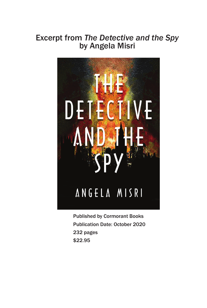## Excerpt from *The Detective and the Spy* by Angela Misri



Published by Cormorant Books Publication Date: October 2020 232 pages \$22.95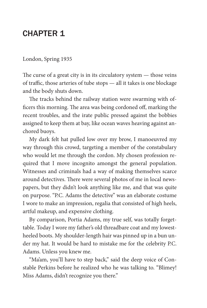## CHAPTER 1

## London, Spring 1935

The curse of a great city is in its circulatory system  $-$  those veins of traffic, those arteries of tube stops — all it takes is one blockage and the body shuts down.

The tracks behind the railway station were swarming with officers this morning. The area was being cordoned off, marking the recent troubles, and the irate public pressed against the bobbies assigned to keep them at bay, like ocean waves heaving against anchored buoys.

My dark felt hat pulled low over my brow, I manoeuvred my way through this crowd, targeting a member of the constabulary who would let me through the cordon. My chosen profession required that I move incognito amongst the general population. Witnesses and criminals had a way of making themselves scarce around detectives. There were several photos of me in local newspapers, but they didn't look anything like me, and that was quite on purpose. "P.C. Adams the detective" was an elaborate costume I wore to make an impression, regalia that consisted of high heels, artful makeup, and expensive clothing.

By comparison, Portia Adams, my true self, was totally forgettable. Today I wore my father's old threadbare coat and my lowestheeled boots. My shoulder-length hair was pinned up in a bun under my hat. It would be hard to mistake me for the celebrity P.C. Adams. Unless you knew me.

"Ma'am, you'll have to step back," said the deep voice of Constable Perkins before he realized who he was talking to. "Blimey! Miss Adams, didn't recognize you there."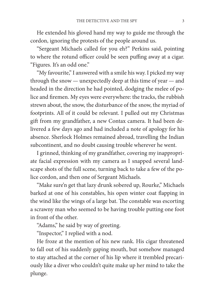He extended his gloved hand my way to guide me through the cordon, ignoring the protests of the people around us.

"Sergeant Michaels called for you eh?" Perkins said, pointing to where the rotund officer could be seen puffing away at a cigar. "Figures. It's an odd one."

"My favourite," I answered with a smile his way. I picked my way through the snow — unexpectedly deep at this time of year — and headed in the direction he had pointed, dodging the melee of police and firemen. My eyes were everywhere: the tracks, the rubbish strewn about, the snow, the disturbance of the snow, the myriad of footprints. All of it could be relevant. I pulled out my Christmas gift from my grandfather, a new Contax camera. It had been delivered a few days ago and had included a note of apology for his absence. Sherlock Holmes remained abroad, travelling the Indian subcontinent, and no doubt causing trouble wherever he went.

I grinned, thinking of my grandfather, covering my inappropriate facial expression with my camera as I snapped several landscape shots of the full scene, turning back to take a few of the police cordon, and then one of Sergeant Michaels.

"Make sure'n get that lazy drunk sobered up, Rourke," Michaels barked at one of his constables, his open winter coat flapping in the wind like the wings of a large bat. The constable was escorting a scrawny man who seemed to be having trouble putting one foot in front of the other.

"Adams," he said by way of greeting.

"Inspector," I replied with a nod.

He froze at the mention of his new rank. His cigar threatened to fall out of his suddenly gaping mouth, but somehow managed to stay attached at the corner of his lip where it trembled precariously like a diver who couldn't quite make up her mind to take the plunge.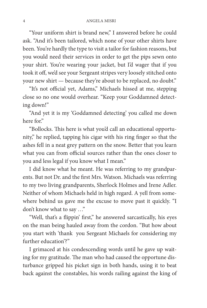## 4 ANGELA MISRI

"Your uniform shirt is brand new," I answered before he could ask. "And it's been tailored, which none of your other shirts have been. You're hardly the type to visit a tailor for fashion reasons, but you would need their services in order to get the pips sewn onto your shirt. You're wearing your jacket, but I'd wager that if you took it off, we'd see your Sergeant stripes very loosely stitched onto your new shirt — because they're about to be replaced, no doubt."

"It's not official yet, Adams," Michaels hissed at me, stepping close so no one would overhear. "Keep your Goddamned detecting down!"

"And yet it is my 'Goddamned detecting' you called me down here for"

"Bollocks. This here is what you'd call an educational opportunity," he replied, tapping his cigar with his ring finger so that the ashes fell in a neat grey pattern on the snow. Better that you learn what you can from official sources rather than the ones closer to you and less legal if you know what I mean."

I did know what he meant. He was referring to my grandparents. But not Dr. and the first Mrs. Watson. Michaels was referring to my two living grandparents, Sherlock Holmes and Irene Adler. Neither of whom Michaels held in high regard. A yell from somewhere behind us gave me the excuse to move past it quickly. "I don't know what to say …"

"Well, that's a flippin' first," he answered sarcastically, his eyes on the man being hauled away from the cordon. "But how about you start with 'thank you Sergeant Michaels for considering my further education'?"

I grimaced at his condescending words until he gave up waiting for my gratitude. The man who had caused the opportune disturbance gripped his picket sign in both hands, using it to beat back against the constables, his words railing against the king of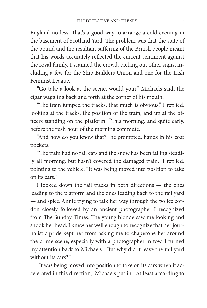England no less. That's a good way to arrange a cold evening in the basement of Scotland Yard. The problem was that the state of the pound and the resultant suffering of the British people meant that his words accurately reflected the current sentiment against the royal family. I scanned the crowd, picking out other signs, including a few for the Ship Builders Union and one for the Irish Feminist League.

"Go take a look at the scene, would you?" Michaels said, the cigar waggling back and forth at the corner of his mouth.

"The train jumped the tracks, that much is obvious," I replied, looking at the tracks, the position of the train, and up at the officers standing on the platform. "This morning, and quite early, before the rush hour of the morning commute."

"And how do you know that?" he prompted, hands in his coat pockets.

"The train had no rail cars and the snow has been falling steadily all morning, but hasn't covered the damaged train," I replied, pointing to the vehicle. "It was being moved into position to take on its cars."

I looked down the rail tracks in both directions — the ones leading to the platform and the ones leading back to the rail yard — and spied Annie trying to talk her way through the police cordon closely followed by an ancient photographer I recognized from The Sunday Times. The young blonde saw me looking and shook her head. I knew her well enough to recognize that her journalistic pride kept her from asking me to chaperone her around the crime scene, especially with a photographer in tow. I turned my attention back to Michaels. "But why did it leave the rail yard without its cars?"

"It was being moved into position to take on its cars when it accelerated in this direction," Michaels put in. "At least according to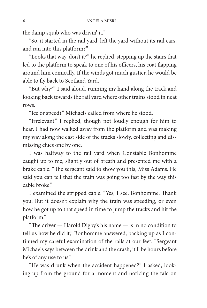the damp squib who was drivin' it."

"So, it started in the rail yard, left the yard without its rail cars, and ran into this platform?"

"Looks that way, don't it?" he replied, stepping up the stairs that led to the platform to speak to one of his officers, his coat flapping around him comically. If the winds got much gustier, he would be able to fly back to Scotland Yard.

"But why?" I said aloud, running my hand along the track and looking back towards the rail yard where other trains stood in neat rows.

"Ice or speed?" Michaels called from where he stood.

"Irrelevant." I replied, though not loudly enough for him to hear. I had now walked away from the platform and was making my way along the east side of the tracks slowly, collecting and dismissing clues one by one.

I was halfway to the rail yard when Constable Bonhomme caught up to me, slightly out of breath and presented me with a brake cable. "The sergeant said to show you this, Miss Adams. He said you can tell that the train was going too fast by the way this cable broke."

I examined the stripped cable. "Yes, I see, Bonhomme. Thank you. But it doesn't explain why the train was speeding, or even how he got up to that speed in time to jump the tracks and hit the platform."

"The driver — Harold Digby's his name — is in no condition to tell us how he did it," Bonhomme answered, backing up as I continued my careful examination of the rails at our feet. "Sergeant Michaels says between the drink and the crash, it'll be hours before he's of any use to us."

"He was drunk when the accident happened?" I asked, looking up from the ground for a moment and noticing the talc on